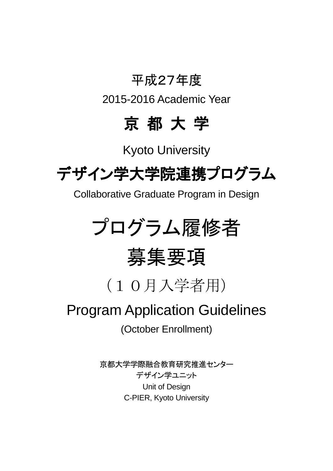## 平成27年度

2015-2016 Academic Year

## 京 都 大 学

Kyoto University

# デザイン学大学院連携プログラム

Collaborative Graduate Program in Design

# プログラム履修者

# 募集要項

(10月入学者用)

## Program Application Guidelines

(October Enrollment)

京都大学学際融合教育研究推進センター デザイン学ユニット Unit of Design C-PIER, Kyoto University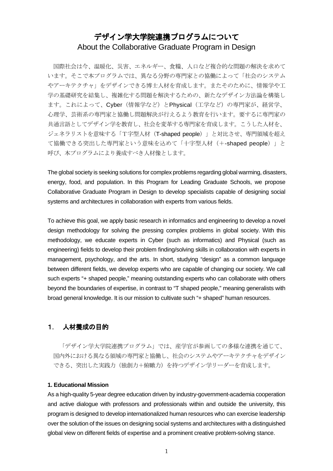### デザイン学大学院連携プログラムについて About the Collaborative Graduate Program in Design

国際社会は今、温暖化、災害、エネルギー、食糧、人口など複合的な問題の解決を求めて います。そこで本プログラムでは、異なる分野の専門家との協働によって「社会のシステム やアーキテクチャ」をデザインできる博士人材を育成します。またそのために、情報学や工 学の基礎研究を結集し、複雑化する問題を解決するための、新たなデザイン方法論を構築し ます。これによって、Cyber(情報学など)とPhysical(工学など)の専門家が、経営学、 心理学、芸術系の専門家と協働し問題解決が行えるよう教育を行います。要するに専門家の 共通言語としてデザイン学を教育し、社会を変革する専門家を育成します。こうした人材を、 ジェネラリストを意味する「T字型人材(T-shaped people)」と対比させ、専門領域を超え て協働できる突出した専門家という意味を込めて「十字型人材(+-shaped people)」と 呼び、本プログラムにより養成すべき人材像とします。

The global society is seeking solutions for complex problems regarding global warming, disasters, energy, food, and population. In this Program for Leading Graduate Schools, we propose Collaborative Graduate Program in Design to develop specialists capable of designing social systems and architectures in collaboration with experts from various fields.

To achieve this goal, we apply basic research in informatics and engineering to develop a novel design methodology for solving the pressing complex problems in global society. With this methodology, we educate experts in Cyber (such as informatics) and Physical (such as engineering) fields to develop their problem finding/solving skills in collaboration with experts in management, psychology, and the arts. In short, studying "design" as a common language between different fields, we develop experts who are capable of changing our society. We call such experts "+ shaped people," meaning outstanding experts who can collaborate with others beyond the boundaries of expertise, in contrast to "T shaped people," meaning generalists with broad general knowledge. It is our mission to cultivate such "+ shaped" human resources.

#### 1. 人材養成の目的

「デザイン学大学院連携プログラム」では、産学官が参画しての多様な連携を通じて、 国内外における異なる領域の専門家と協働し、社会のシステムやアーキテクチャをデザイン できる、突出した実践力(独創力+俯瞰力)を持つデザイン学リーダーを育成します。

#### **1. Educational Mission**

As a high-quality 5-year degree education driven by industry-government-academia cooperation and active dialogue with professors and professionals within and outside the university, this program is designed to develop internationalized human resources who can exercise leadership over the solution of the issues on designing social systems and architectures with a distinguished global view on different fields of expertise and a prominent creative problem-solving stance.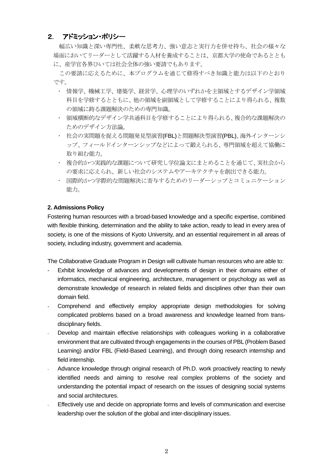#### 2. アドミッション・ポリシー

幅広い知識と深い専門性、柔軟な思考力、強い意志と実行力を併せ持ち、社会の様々な 場面においてリーダーとして活躍する人材を養成することは、京都大学の使命であるととも に、産学官各界ひいては社会全体の強い要請でもあります。

この要請に応えるために、本プログラムを通じて修得すべき知識と能力は以下のとおり です。

- 情報学、機械工学、建築学、経営学、心理学のいずれかを主領域とするデザイン学領域 科目を学修するとともに、他の領域を副領域として学修することにより得られる、複数 の領域に跨る課題解決のための専門知識。
- 領域横断的なデザイン学共通科目を学修することにより得られる、複合的な課題解決の ためのデザイン方法論。
- 社会の実問題を捉える問題発見型演習(FBL)と問題解決型演習(PBL)、海外インターンシ ップ、フィールドインターンシップなどによって鍛えられる、専門領域を超えて協働に 取り組む能力。
- 複合的かつ実践的な課題について研究し学位論文にまとめることを通じて、実社会から の要求に応えられ、新しい社会のシステムやアーキテクチャを創出できる能力。
- 国際的かつ学際的な問題解決に寄与するためのリーダーシップとコミュニケーション 能力。

#### **2. Admissions Policy**

Fostering human resources with a broad-based knowledge and a specific expertise, combined with flexible thinking, determination and the ability to take action, ready to lead in every area of society, is one of the missions of Kyoto University, and an essential requirement in all areas of society, including industry, government and academia.

The Collaborative Graduate Program in Design will cultivate human resources who are able to:

- Exhibit knowledge of advances and developments of design in their domains either of informatics, mechanical engineering, architecture, management or psychology as well as demonstrate knowledge of research in related fields and disciplines other than their own domain field.
- Comprehend and effectively employ appropriate design methodologies for solving complicated problems based on a broad awareness and knowledge learned from transdisciplinary fields.
- Develop and maintain effective relationships with colleagues working in a collaborative environment that are cultivated through engagements in the courses of PBL (Problem Based Learning) and/or FBL (Field-Based Learning), and through doing research internship and field internship.
- Advance knowledge through original research of Ph.D. work proactively reacting to newly identified needs and aiming to resolve real complex problems of the society and understanding the potential impact of research on the issues of designing social systems and social architectures.
- Effectively use and decide on appropriate forms and levels of communication and exercise leadership over the solution of the global and inter-disciplinary issues.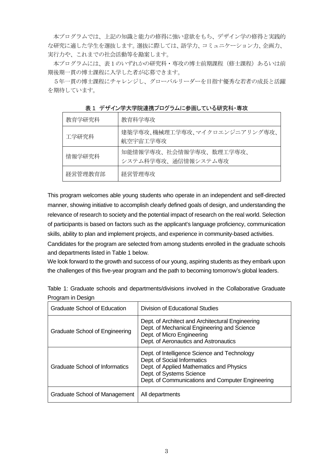本プログラムでは、上記の知識と能力の修得に強い意欲をもち、デザイン学の修得と実践的 な研究に適した学生を選抜します。選抜に際しては、語学力、コミュニケーション力、企画力、 実行力や、これまでの社会活動等を勘案します。

本プログラムには、表1のいずれかの研究科・専攻の博士前期課程(修士課程)あるいは前 期後期一貫の博士課程に入学した者が応募できます。

5年一貫の博士課程にチャレンジし、グローバルリーダーを目指す優秀な若者の成長と活躍 を期待しています。

| 教育学研究科  | 教育科学専攻                                         |
|---------|------------------------------------------------|
| 工学研究科   | 建築学専攻、機械理工学専攻、マイクロエンジニアリング専攻、<br>航空宇宙工学専攻      |
| 情報学研究科  | 知能情報学専攻、社会情報学専攻、数理工学専攻、<br>システム科学専攻、通信情報システム専攻 |
| 経営管理教育部 | 経営管理専攻                                         |

表 1 デザイン学大学院連携プログラムに参画している研究科・専攻

This program welcomes able young students who operate in an independent and self-directed manner, showing initiative to accomplish clearly defined goals of design, and understanding the relevance of research to society and the potential impact of research on the real world. Selection of participants is based on factors such as the applicant's language proficiency, communication skills, ability to plan and implement projects, and experience in community-based activities.

Candidates for the program are selected from among students enrolled in the graduate schools and departments listed in Table 1 below.

We look forward to the growth and success of our young, aspiring students as they embark upon the challenges of this five-year program and the path to becoming tomorrow's global leaders.

|                   |  | Table 1: Graduate schools and departments/divisions involved in the Collaborative Graduate |  |  |
|-------------------|--|--------------------------------------------------------------------------------------------|--|--|
| Program in Design |  |                                                                                            |  |  |

| <b>Graduate School of Education</b>   | Division of Educational Studies                                                                                                                                                                         |
|---------------------------------------|---------------------------------------------------------------------------------------------------------------------------------------------------------------------------------------------------------|
| <b>Graduate School of Engineering</b> | Dept. of Architect and Architectural Engineering<br>Dept. of Mechanical Engineering and Science<br>Dept. of Micro Engineering<br>Dept. of Aeronautics and Astronautics                                  |
| Graduate School of Informatics        | Dept. of Intelligence Science and Technology<br>Dept. of Social Informatics<br>Dept. of Applied Mathematics and Physics<br>Dept. of Systems Science<br>Dept. of Communications and Computer Engineering |
| Graduate School of Management         | All departments                                                                                                                                                                                         |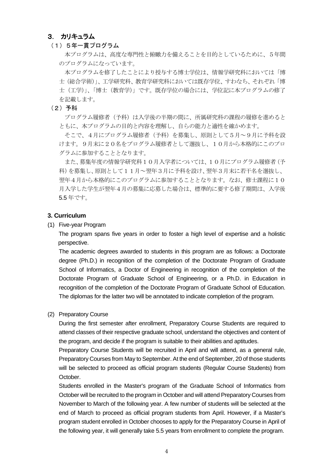#### 3. カリキュラム

(1)5年一貫プログラム

本プログラムは、高度な専門性と俯瞰力を備えることを目的としているために、5年間 のプログラムになっています。

本プログラムを修了したことにより授与する博士学位は、情報学研究科においては「博 士(総合学術)」、工学研究科、教育学研究科においては既存学位、すわなち、それぞれ「博 士(工学)」、「博士(教育学)」です。既存学位の場合には、学位記に本プログラムの修了 を記載します。

(2)予科

プログラム履修者(予科)は入学後の半期の間に、所属研究科の課程の履修を進めると ともに、本プログラムの目的と内容を理解し、自らの能力と適性を確かめます。

そこで、4月にプログラム履修者(予科)を募集し、原則として5月~9月に予科を設 けます。9月末に20名をプログラム履修者として選抜し、10月から本格的にこのプロ グラムに参加することとなります。

また、募集年度の情報学研究科10月入学者については、10月にプログラム履修者(予 科)を募集し、原則として11月~翌年3月に予科を設け、翌年3月末に若干名を選抜し、 翌年4月から本格的にこのプログラムに参加することとなります。なお、修士課程に10 月入学した学生が翌年4月の募集に応募した場合は、標準的に要する修了期間は、入学後 5.5 年です。

#### **3. Curriculum**

(1) Five-year Program

The program spans five years in order to foster a high level of expertise and a holistic perspective.

The academic degrees awarded to students in this program are as follows: a Doctorate degree (Ph.D.) in recognition of the completion of the Doctorate Program of Graduate School of Informatics, a Doctor of Engineering in recognition of the completion of the Doctorate Program of Graduate School of Engineering, or a Ph.D. in Education in recognition of the completion of the Doctorate Program of Graduate School of Education. The diplomas for the latter two will be annotated to indicate completion of the program.

(2) Preparatory Course

During the first semester after enrollment, Preparatory Course Students are required to attend classes of their respective graduate school, understand the objectives and content of the program, and decide if the program is suitable to their abilities and aptitudes.

Preparatory Course Students will be recruited in April and will attend, as a general rule, Preparatory Courses from May to September. At the end of September, 20 of those students will be selected to proceed as official program students (Regular Course Students) from October.

Students enrolled in the Master's program of the Graduate School of Informatics from October will be recruited to the program in October and will attend Preparatory Courses from November to March of the following year. A few number of students will be selected at the end of March to proceed as official program students from April. However, if a Master's program student enrolled in October chooses to apply for the Preparatory Course in April of the following year, it will generally take 5.5 years from enrollment to complete the program.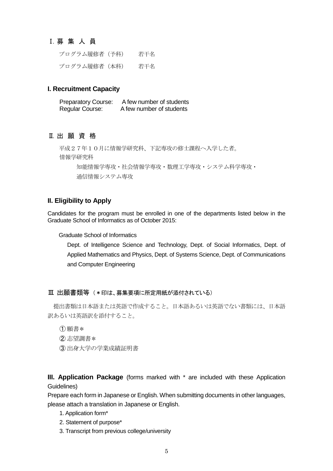#### Ⅰ.募 集 人 員

プログラム履修者 (予科) 若干名 プログラム履修者 (本科) 若干名

#### **I. Recruitment Capacity**

Preparatory Course: A few number of students Regular Course: A few number of students

#### Ⅱ.出 願 資 格

平成27年10月に情報学研究科、下記専攻の修士課程へ入学した者。 情報学研究科 知能情報学専攻・社会情報学専攻・数理工学専攻・システム科学専攻・ 通信情報システム専攻

#### **II. Eligibility to Apply**

Candidates for the program must be enrolled in one of the departments listed below in the Graduate School of Informatics as of October 2015:

Graduate School of Informatics

Dept. of Intelligence Science and Technology, Dept. of Social Informatics, Dept. of Applied Mathematics and Physics, Dept. of Systems Science, Dept. of Communications and Computer Engineering

#### Ⅲ.出願書類等 (\*印は、募集要項に所定用紙が添付されている)

提出書類は日本語または英語で作成すること。日本語あるいは英語でない書類には、日本語 訳あるいは英語訳を添付すること。

- ① 願書\*
- ② 志望調書\*
- ③ 出身大学の学業成績証明書

**III. Application Package** (forms marked with \* are included with these Application Guidelines)

Prepare each form in Japanese or English. When submitting documents in other languages, please attach a translation in Japanese or English.

- 1. Application form\*
- 2. Statement of purpose\*
- 3. Transcript from previous college/university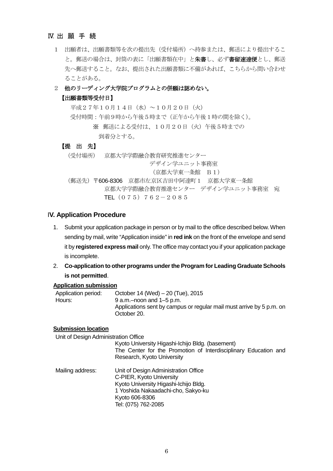#### Ⅳ.出 願 手 続

1 出願者は、出願書類等を次の提出先(受付場所)へ持参または、郵送により提出するこ と。郵送の場合は、封筒の表に「出願書類在中」と朱書し、必ず書留速達便とし、郵送 先へ郵送すること。なお、提出された出願書類に不備があれば、こちらから問い合わせ ることがある。

#### 2 他のリーディング大学院プログラムとの併願は認めない。

#### 【出願書類等受付日】

平成27年10月14日(水)~10月20日(火) 受付時間:午前9時から午後5時まで(正午から午後1時の間を除く)。 ※ 郵送による受付は、10月20日(火)午後5時までの 到着分とする。 【提 出 先】 (受付場所) 京都大学学際融合教育研究推進センター デザイン学ユニット事務室 (京都大学東一条館 B1) (郵送先)〒606-8306 京都市左京区吉田中阿達町1 京都大学東一条館

京都大学学際融合教育推進センター デザイン学ユニット事務室 宛

TEL  $(075)$  762-2085

#### I**V. Application Procedure**

1. Submit your application package in person or by mail to the office described below. When sending by mail, write "Application inside" in **red ink** on the front of the envelope and send it by **registered express mail** only. The office may contact you if your application package is incomplete.

#### 2. **Co-application to other programs under the Program for Leading Graduate Schools is not permitted**.

#### **Application submission**

Application period: October 14 (Wed) – 20 (Tue), 2015 Hours: 9 a.m.–noon and 1–5 p.m. Applications sent by campus or regular mail must arrive by 5 p.m. on October 20.

#### **Submission location**

Unit of Design Administration Office

Kyoto University Higashi-Ichijo Bldg. (basement) The Center for the Promotion of Interdisciplinary Education and Research, Kyoto University

Mailing address: Unit of Design Administration Office C-PIER, Kyoto University Kyoto University Higashi-Ichijo Bldg. 1 Yoshida Nakaadachi-cho, Sakyo-ku Kyoto 606-8306 Tel: (075) 762-2085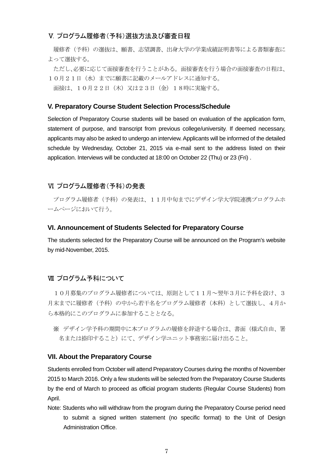#### Ⅴ.プログラム履修者(予科)選抜方法及び審査日程

履修者(予科)の選抜は、願書、志望調書、出身大学の学業成績証明書等による書類審査に よって選抜する。

ただし、必要に応じて面接審査を行うことがある。面接審査を行う場合の面接審査の日程は、 10月21日(水)までに願書に記載のメールアドレスに通知する。 面接は、10月22日(木)又は23日(金)18時に実施する。

#### **V. Preparatory Course Student Selection Process/Schedule**

Selection of Preparatory Course students will be based on evaluation of the application form, statement of purpose, and transcript from previous college/university. If deemed necessary, applicants may also be asked to undergo an interview. Applicants will be informed of the detailed schedule by Wednesday, October 21, 2015 via e-mail sent to the address listed on their application. Interviews will be conducted at 18:00 on October 22 (Thu) or 23 (Fri) .

#### Ⅵ.プログラム履修者(予科)の発表

プログラム履修者(予科)の発表は、11月中旬までにデザイン学大学院連携プログラムホ ームページにおいて行う。

#### **VI. Announcement of Students Selected for Preparatory Course**

The students selected for the Preparatory Course will be announced on the Program's website by mid-November, 2015.

#### Ⅶ.プログラム予科について

10月募集のプログラム履修者については、原則として11月~翌年3月に予科を設け、3 月末までに履修者(予科)の中から若干名をプログラム履修者(本科)として選抜し、4月か ら本格的にこのプログラムに参加することとなる。

※ デザイン学予科の期間中に本プログラムの履修を辞退する場合は、書面(様式自由、署 名または捺印すること)にて、デザイン学ユニット事務室に届け出ること。

#### **VII. About the Preparatory Course**

Students enrolled from October will attend Preparatory Courses during the months of November 2015 to March 2016. Only a few students will be selected from the Preparatory Course Students by the end of March to proceed as official program students (Regular Course Students) from April.

Note: Students who will withdraw from the program during the Preparatory Course period need to submit a signed written statement (no specific format) to the Unit of Design Administration Office.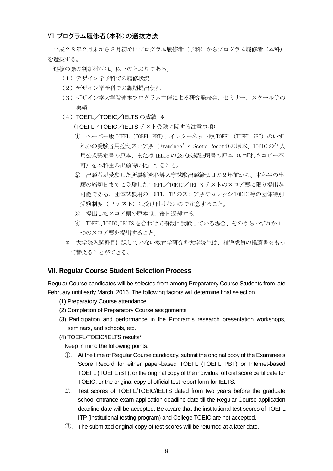#### Ⅷ.プログラム履修者(本科)の選抜方法

平成28年2月末から3月初めにプログラム履修者(予科)からプログラム履修者(本科) を選抜する。

選抜の際の判断材料は、以下のとおりである。

- (1)デザイン学予科での履修状況
- (2)デザイン学予科での課題提出状況
- (3)デザイン学大学院連携プログラム主催による研究発表会、セミナー、スクール等の 実績
- (4) TOEFL/TOEIC/IELTS の成績 \*

(TOEFL/TOEIC/IELTS テスト受験に関する注意事項)

- ① ペーパー版 TOEFL(TOEFL PBT)、インターネット版 TOEFL(TOEFL iBT)のいず れかの受験者用控えスコア票(Examinee's Score Record)の原本、TOEIC の個人 用公式認定書の原本、または IELTS の公式成績証明書の原本(いずれもコピー不 可)を本科生の出願時に提出すること。
- ② 出願者が受験した所属研究科等入学試験出願締切日の2年前から、本科生の出 願の締切日までに受験した TOEFL/TOEIC/IELTS テストのスコア票に限り提出が 可能である。団体試験用の TOEFL ITP のスコア票やカレッジ TOEIC 等の団体特別 受験制度(IPテスト)は受け付けないので注意すること。
- ③ 提出したスコア票の原本は、後日返却する。
- ④ TOEFL、TOEIC、IELTS を合わせて複数回受験している場合、そのうちいずれか1 つのスコア票を提出すること。
- \* 大学院入試科目に課していない教育学研究科大学院生は、指導教員の推薦書をもっ て替えることができる。

#### **VII. Regular Course Student Selection Process**

Regular Course candidates will be selected from among Preparatory Course Students from late February until early March, 2016. The following factors will determine final selection.

- (1) Preparatory Course attendance
- (2) Completion of Preparatory Course assignments
- (3) Participation and performance in the Program's research presentation workshops, seminars, and schools, etc.
- (4) TOEFL/TOEIC/IELTS results\*

Keep in mind the following points.

- ①. At the time of Regular Course candidacy, submit the original copy of the Examinee's Score Record for either paper-based TOEFL (TOEFL PBT) or Internet-based TOEFL (TOEFL iBT), or the original copy of the individual official score certificate for TOEIC, or the original copy of official test report form for IELTS.
- ②. Test scores of TOEFL/TOEIC/IELTS dated from two years before the graduate school entrance exam application deadline date till the Regular Course application deadline date will be accepted. Be aware that the institutional test scores of TOEFL ITP (institutional testing program) and College TOEIC are not accepted.
- ③. The submitted original copy of test scores will be returned at a later date.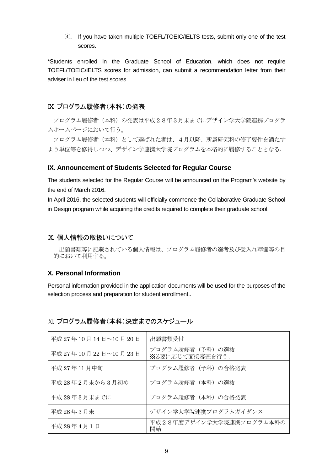④. If you have taken multiple TOEFL/TOEIC/IELTS tests, submit only one of the test scores.

\*Students enrolled in the Graduate School of Education, which does not require TOEFL/TOEIC/IELTS scores for admission, can submit a recommendation letter from their adviser in lieu of the test scores.

#### Ⅸ.プログラム履修者(本科)の発表

プログラム履修者(本科)の発表は平成28年3月末までにデザイン学大学院連携プログラ ムホームページにおいて行う。

プログラム履修者(本科)として選ばれた者は、4月以降、所属研究科の修了要件を満たす よう単位等を修得しつつ、デザイン学連携大学院プログラムを本格的に履修することとなる。

#### **IX. Announcement of Students Selected for Regular Course**

The students selected for the Regular Course will be announced on the Program's website by the end of March 2016.

In April 2016, the selected students will officially commence the Collaborative Graduate School in Design program while acquiring the credits required to complete their graduate school.

#### Ⅹ.個人情報の取扱いについて

出願書類等に記載されている個人情報は、プログラム履修者の選考及び受入れ準備等の目 的において利用する。

#### **X. Personal Information**

Personal information provided in the application documents will be used for the purposes of the selection process and preparation for student enrollment..

| 平成 27年10月14日~10月20日 | 出願書類受付                             |
|---------------------|------------------------------------|
| 平成 27年10月22日~10月23日 | プログラム履修者(予科)の選抜<br>X必要に応じて面接審査を行う。 |
| 平成 27年11月中旬         | プログラム履修者(予科)の合格発表                  |
| 平成28年2月末から3月初め      | プログラム履修者(本科)の選抜                    |
| 平成28年3月末までに         | プログラム履修者 (本科)の合格発表                 |
| 平成 28年3月末           | デザイン学大学院連携プログラムガイダンス               |
| 平成 28年4月1日          | 平成28年度デザイン学大学院連携プログラム本科の<br>開始     |

#### Ⅺ.プログラム履修者(本科)決定までのスケジュール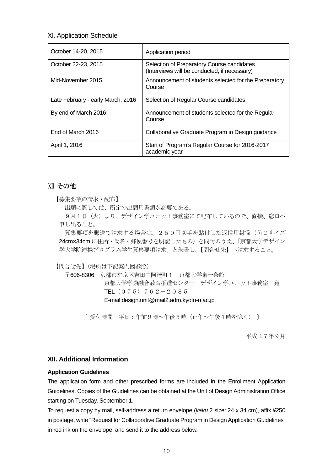#### XI. Application Schedule

| October 14-20, 2015               | Application period                                                                         |
|-----------------------------------|--------------------------------------------------------------------------------------------|
| October 22-23, 2015               | Selection of Preparatory Course candidates<br>(Interviews will be conducted, if necessary) |
| Mid-November 2015                 | Announcement of students selected for the Preparatory<br>Course                            |
| Late February - early March, 2016 | Selection of Regular Course candidates                                                     |
| By end of March 2016              | Announcement of students selected for the Regular<br>Course                                |
| End of March 2016                 | Collaborative Graduate Program in Design guidance                                          |
| April 1, 2016                     | Start of Program's Regular Course for 2016-2017<br>academic year                           |

#### Ⅻ.その他

【募集要項の請求・配布】

出願に際しては、所定の出願用書類が必要である。

9月1日(火)より、デザイン学ユニット事務室にて配布しているので、直接、窓口へ 申し出ること。

募集要項を郵送で請求する場合は、250円切手を貼付した返信用封筒(角2サイズ 24cmx34cm に住所·氏名·郵便番号を明記したもの)を同封のうえ、「京都大学デザイン 学大学院連携プログラム学生募集要項請求」と朱書し、【問合せ先】へ請求すること。

【問合せ先】(場所は下記案内図参照)

〒606-8306 京都市左京区吉田中阿達町1 京都大学東一条館 京都大学学際融合教育推進センター デザイン学ユニット事務室 宛 TEL  $(075)$  762-2085 E-mail:design.unit@mail2.adm.kyoto-u.ac.jp

〔 受付時間 平日:午前9時~午後5時〈正午~午後1時を除く〉 〕

平成27年9月

#### **XII. Additional Information**

#### **Application Guidelines**

The application form and other prescribed forms are included in the Enrollment Application Guidelines. Copies of the Guidelines can be obtained at the Unit of Design Administration Office starting on Tuesday, September 1.

To request a copy by mail, self-address a return envelope (*kaku* 2 size: 24 x 34 cm), affix ¥250 in postage, write "Request for Collaborative Graduate Program in Design Application Guidelines" in red ink on the envelope, and send it to the address below.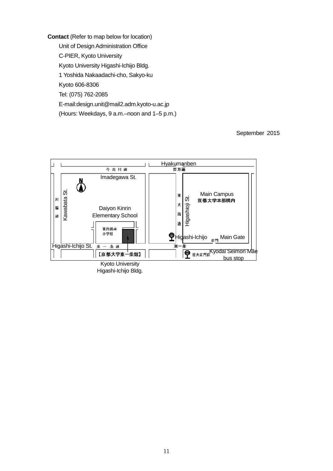**Contact** (Refer to map below for location) Unit of Design Administration Office C-PIER, Kyoto University Kyoto University Higashi-Ichijo Bldg. 1 Yoshida Nakaadachi-cho, Sakyo-ku Kyoto 606-8306 Tel: (075) 762-2085 E-mail:design.unit@mail2.adm.kyoto-u.ac.jp (Hours: Weekdays, 9 a.m.–noon and 1–5 p.m.)

September 2015



Higashi-Ichijo Bldg.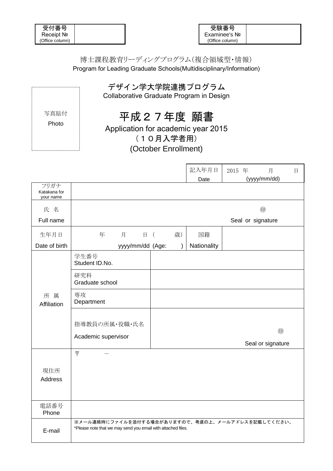| 受付番号            |  |
|-----------------|--|
| Receipt No      |  |
| (Office column) |  |

### 博士課程教育リーディングプログラム(複合領域型・情報) Program for Leading Graduate Schools(Multidisciplinary/Information)

|               | デザイン学大学院連携プログラム<br>Collaborative Graduate Program in Design                          |  |
|---------------|--------------------------------------------------------------------------------------|--|
| 写真貼付<br>Photo | 平成27年度 願書<br>Application for academic year 2015<br>(10月入学者用)<br>(October Enrollment) |  |

|                                   |                                                                                                                   |                | 記入年月日       | 月<br>2015 年            | $\boxminus$ |
|-----------------------------------|-------------------------------------------------------------------------------------------------------------------|----------------|-------------|------------------------|-------------|
|                                   |                                                                                                                   |                | Date        | (yyyy/mm/dd)           |             |
| フリガナ<br>Katakana for<br>your name |                                                                                                                   |                |             |                        |             |
| 氏名                                |                                                                                                                   |                |             | 甸                      |             |
| Full name                         |                                                                                                                   |                |             | Seal or signature      |             |
| 生年月日                              | 年<br>月<br>$\Box$                                                                                                  | 歳)<br>$\left($ | 国籍          |                        |             |
| Date of birth                     | yyyy/mm/dd (Age:                                                                                                  | $\lambda$      | Nationality |                        |             |
|                                   | 学生番号<br>Student ID.No.                                                                                            |                |             |                        |             |
|                                   | 研究科<br>Graduate school                                                                                            |                |             |                        |             |
| 所属<br>Affiliation                 | 専攻<br>Department                                                                                                  |                |             |                        |             |
|                                   | 指導教員の所属・役職・氏名<br>Academic supervisor                                                                              |                |             | 甸<br>Seal or signature |             |
|                                   | $\bar{T}$                                                                                                         |                |             |                        |             |
| 現住所<br><b>Address</b>             |                                                                                                                   |                |             |                        |             |
| 電話番号<br>Phone                     |                                                                                                                   |                |             |                        |             |
| E-mail                            | ※メール連絡時にファイルを添付する場合がありますので、考慮の上、メールアドレスを記載してください。<br>*Please note that we may send you email with attached files. |                |             |                        |             |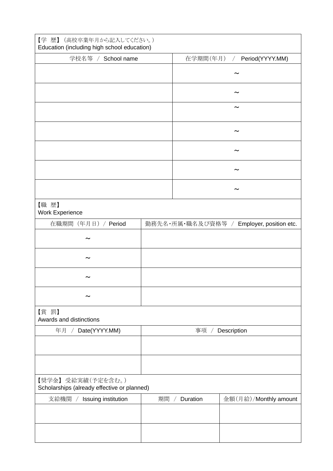| 【学 歴】 (高校卒業年月から記入してください。)<br>Education (including high school education) |    |                        |                                           |
|--------------------------------------------------------------------------|----|------------------------|-------------------------------------------|
| 学校名等 / School name                                                       |    | 在学期間(年月)               | Period(YYYY.MM)<br>$\sqrt{2}$             |
|                                                                          |    |                        |                                           |
|                                                                          |    |                        |                                           |
|                                                                          |    |                        |                                           |
|                                                                          |    |                        |                                           |
|                                                                          |    |                        |                                           |
|                                                                          |    |                        |                                           |
|                                                                          |    |                        |                                           |
| 【職歴】<br>Work Experience                                                  |    |                        |                                           |
| 在職期間 (年月日) / Period                                                      |    |                        | 勤務先名・所属·職名及び資格等 / Employer, position etc. |
|                                                                          |    |                        |                                           |
|                                                                          |    |                        |                                           |
|                                                                          |    |                        |                                           |
|                                                                          |    |                        |                                           |
| 【賞罰】<br>Awards and distinctions                                          |    |                        |                                           |
| / Date(YYYY.MM)<br>年月                                                    |    |                        | 事項 / Description                          |
|                                                                          |    |                        |                                           |
|                                                                          |    |                        |                                           |
| 【奨学金】受給実績(予定を含む。)<br>Scholarships (already effective or planned)         |    |                        |                                           |
| 支給機関<br>Issuing institution                                              | 期間 | Duration<br>$\sqrt{ }$ | 金額(月給)/Monthly amount                     |
|                                                                          |    |                        |                                           |
|                                                                          |    |                        |                                           |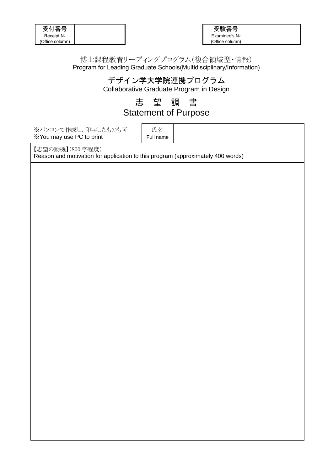| 受付番号            |  |
|-----------------|--|
| Receipt No      |  |
| (Office column) |  |

#### 博士課程教育リーディングプログラム(複合領域型・情報) Program for Leading Graduate Schools(Multidisciplinary/Information)

## デザイン学大学院連携プログラム

Collaborative Graduate Program in Design

## 志 望 調 書

### Statement of Purpose

※パソコンで作成し、印字したものも可 ※You may use PC to print

氏名 Full name

【志望の動機】(800 字程度) Reason and motivation for application to this program (approximately 400 words)